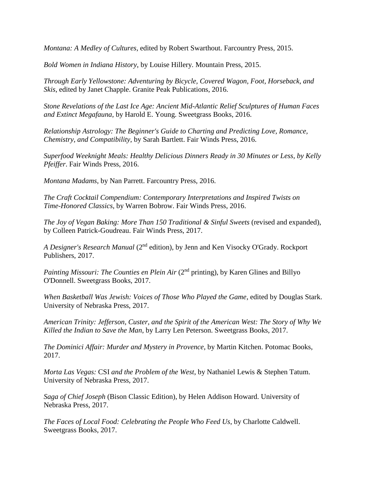*Montana: A Medley of Cultures*, edited by Robert Swarthout. Farcountry Press, 2015.

*Bold Women in Indiana History*, by Louise Hillery. Mountain Press, 2015.

*Through Early Yellowstone: Adventuring by Bicycle, Covered Wagon, Foot, Horseback, and Skis*, edited by Janet Chapple. Granite Peak Publications, 2016.

*Stone Revelations of the Last Ice Age: Ancient Mid-Atlantic Relief Sculptures of Human Faces and Extinct Megafauna*, by Harold E. Young. Sweetgrass Books, 2016.

*Relationship Astrology: The Beginner's Guide to Charting and Predicting Love, Romance, Chemistry, and Compatibility*, by Sarah Bartlett. Fair Winds Press, 2016.

*Superfood Weeknight Meals: Healthy Delicious Dinners Ready in 30 Minutes or Less, by Kelly Pfeiffer*. Fair Winds Press, 2016.

*Montana Madams*, by Nan Parrett. Farcountry Press, 2016.

*The Craft Cocktail Compendium: Contemporary Interpretations and Inspired Twists on Time-Honored Classics*, by Warren Bobrow. Fair Winds Press, 2016.

*The Joy of Vegan Baking: More Than 150 Traditional & Sinful Sweets (revised and expanded),* by Colleen Patrick-Goudreau. Fair Winds Press, 2017.

*A Designer's Research Manual* (2<sup>nd</sup> edition), by Jenn and Ken Visocky O'Grady. Rockport Publishers, 2017.

*Painting Missouri: The Counties en Plein Air* (2<sup>nd</sup> printing), by Karen Glines and Billyo O'Donnell. Sweetgrass Books, 2017.

*When Basketball Was Jewish: Voices of Those Who Played the Game*, edited by Douglas Stark. University of Nebraska Press, 2017.

*American Trinity: Jefferson, Custer, and the Spirit of the American West: The Story of Why We Killed the Indian to Save the Man*, by Larry Len Peterson. Sweetgrass Books, 2017.

*The Dominici Affair: Murder and Mystery in Provence*, by Martin Kitchen. Potomac Books, 2017.

*Morta Las Vegas:* CSI *and the Problem of the West*, by Nathaniel Lewis & Stephen Tatum. University of Nebraska Press, 2017.

*Saga of Chief Joseph* (Bison Classic Edition), by Helen Addison Howard. University of Nebraska Press, 2017.

*The Faces of Local Food: Celebrating the People Who Feed Us*, by Charlotte Caldwell. Sweetgrass Books, 2017.